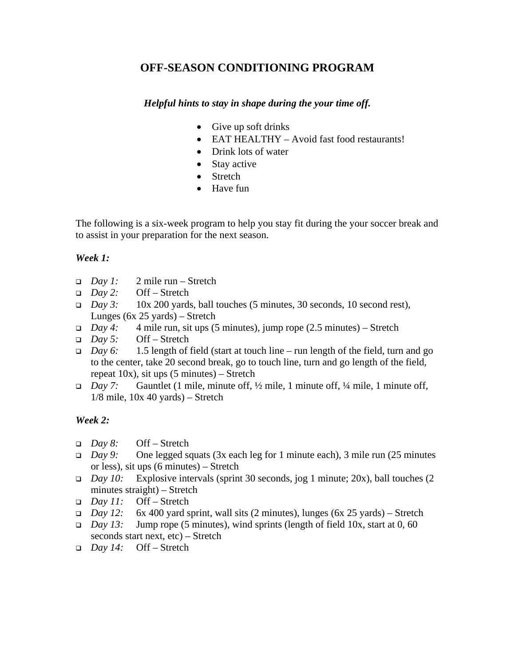# **OFF-SEASON CONDITIONING PROGRAM**

## *Helpful hints to stay in shape during the your time off.*

- Give up soft drinks
- EAT HEALTHY Avoid fast food restaurants!
- Drink lots of water
- Stay active
- Stretch
- Have fun

The following is a six-week program to help you stay fit during the your soccer break and to assist in your preparation for the next season.

## *Week 1:*

- *Day 1:* 2 mile run Stretch
- *Day 2:* Off Stretch
- *Day 3:* 10x 200 yards, ball touches (5 minutes, 30 seconds, 10 second rest), Lunges (6x 25 yards) – Stretch
- *Day 4:* 4 mile run, sit ups (5 minutes), jump rope (2.5 minutes) Stretch
- *Day 5:* Off Stretch
- *Day 6:* 1.5 length of field (start at touch line run length of the field, turn and go to the center, take 20 second break, go to touch line, turn and go length of the field, repeat  $10x$ ), sit ups  $(5 \text{ minutes})$  – Stretch
- *Day 7:* Gauntlet (1 mile, minute off, ½ mile, 1 minute off, ¼ mile, 1 minute off,  $1/8$  mile,  $10x 40$  yards) – Stretch

# *Week 2:*

- *Day 8:* Off Stretch
- *Day 9:* One legged squats (3x each leg for 1 minute each), 3 mile run (25 minutes or less), sit ups (6 minutes) – Stretch
- *Day 10:* Explosive intervals (sprint 30 seconds, jog 1 minute; 20x), ball touches (2 minutes straight) – Stretch
- *Day 11:* Off Stretch
- *Day 12:* 6x 400 yard sprint, wall sits (2 minutes), lunges (6x 25 yards) Stretch
- *Day 13:* Jump rope (5 minutes), wind sprints (length of field 10x, start at 0, 60 seconds start next, etc) – Stretch
- *Day 14:* Off Stretch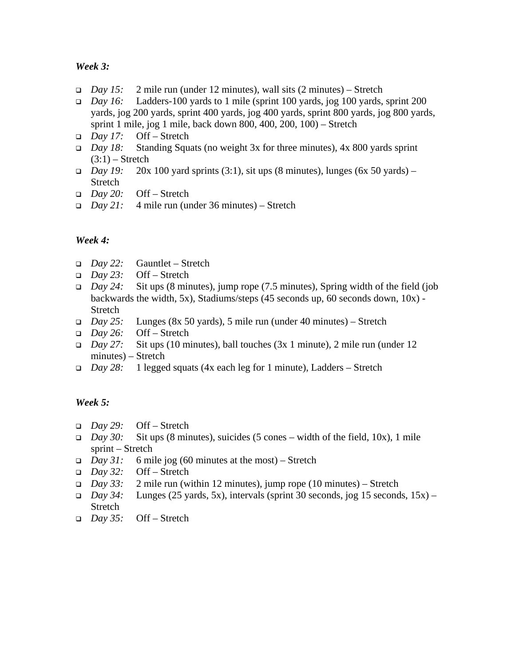## *Week 3:*

- *Day 15:* 2 mile run (under 12 minutes), wall sits (2 minutes) Stretch
- *Day 16:* Ladders-100 yards to 1 mile (sprint 100 yards, jog 100 yards, sprint 200 yards, jog 200 yards, sprint 400 yards, jog 400 yards, sprint 800 yards, jog 800 yards, sprint 1 mile, jog 1 mile, back down 800, 400, 200, 100) – Stretch
- *Day 17:* Off Stretch
- *Day 18:* Standing Squats (no weight 3x for three minutes), 4x 800 yards sprint  $(3:1)$  – Stretch
- *Day 19:* 20x 100 yard sprints (3:1), sit ups (8 minutes), lunges (6x 50 yards) Stretch
- *Day 20:* Off Stretch
- *Day 21:* 4 mile run (under 36 minutes) Stretch

## *Week 4:*

- *Day 22:* Gauntlet Stretch
- *Day 23:* Off Stretch
- *Day 24:* Sit ups (8 minutes), jump rope (7.5 minutes), Spring width of the field (job backwards the width, 5x), Stadiums/steps (45 seconds up, 60 seconds down, 10x) - Stretch
- *Day 25:* Lunges (8x 50 yards), 5 mile run (under 40 minutes) Stretch
- *Day 26:* Off Stretch
- *Day 27:* Sit ups (10 minutes), ball touches (3x 1 minute), 2 mile run (under 12 minutes) – Stretch
- *Day 28:* 1 legged squats (4x each leg for 1 minute), Ladders Stretch

## *Week 5:*

- *Day 29:* Off Stretch
- *Day 30:* Sit ups (8 minutes), suicides (5 cones width of the field, 10x), 1 mile sprint – Stretch
- *Day 31:* 6 mile jog (60 minutes at the most) Stretch
- *Day 32:* Off Stretch
- *Day 33:* 2 mile run (within 12 minutes), jump rope (10 minutes) Stretch
- $Day 34$ : Lunges (25 yards, 5x), intervals (sprint 30 seconds, jog 15 seconds, 15x) Stretch
- *Day 35:* Off Stretch